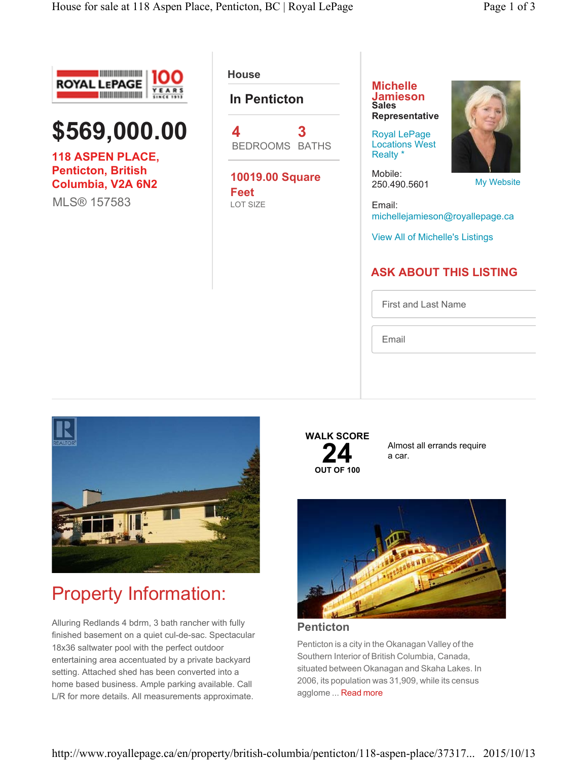



**118 ASPEN PLACE, Penticton, British Columbia, V2A 6N2**

MLS® 157583

**House** 

### **In Penticton**

**4** BEDROOMS BATHS **3**

**10019.00 Square Feet** LOT SIZE

**Michelle Jamieson Sales Representative**

Royal LePage Locations West Realty \*

Mobile: 250.490.5601

My Website

Email: michellejamieson@royallepage.ca

View All of Michelle's Listings

### **ASK ABOUT THIS LISTING**

First and Last Name

Email



## Property Information:

Alluring Redlands 4 bdrm, 3 bath rancher with fully finished basement on a quiet cul-de-sac. Spectacular 18x36 saltwater pool with the perfect outdoor entertaining area accentuated by a private backyard setting. Attached shed has been converted into a home based business. Ample parking available. Call L/R for more details. All measurements approximate.

### **WALK SCORE 24**<br> **OUT OF 100**

Almost all errands require a car.



**Penticton**

Penticton is a city in the Okanagan Valley of the Southern Interior of British Columbia, Canada, situated between Okanagan and Skaha Lakes. In 2006, its population was 31,909, while its census agglome ... Read more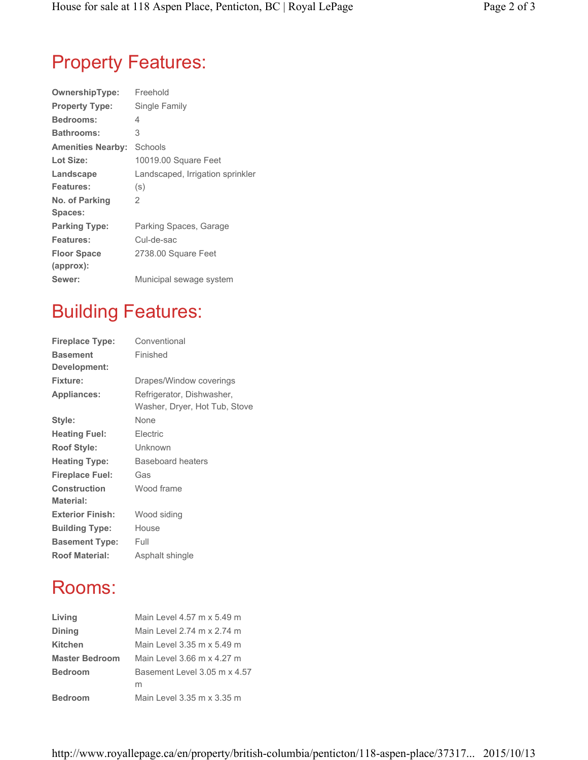# Property Features:

| <b>OwnershipType:</b>    | Freehold                         |
|--------------------------|----------------------------------|
| <b>Property Type:</b>    | Single Family                    |
| <b>Bedrooms:</b>         | 4                                |
| <b>Bathrooms:</b>        | 3                                |
| <b>Amenities Nearby:</b> | Schools                          |
| Lot Size:                | 10019.00 Square Feet             |
| Landscape                | Landscaped, Irrigation sprinkler |
| Features:                | (s)                              |
| No. of Parking           | 2                                |
| Spaces:                  |                                  |
| <b>Parking Type:</b>     | Parking Spaces, Garage           |
| Features:                | Cul-de-sac                       |
| <b>Floor Space</b>       | 2738.00 Square Feet              |
| (approx):                |                                  |
| Sewer:                   | Municipal sewage system          |
|                          |                                  |

## Building Features:

| <b>Fireplace Type:</b>          | Conventional                                               |
|---------------------------------|------------------------------------------------------------|
| <b>Basement</b><br>Development: | Finished                                                   |
| <b>Fixture:</b>                 | Drapes/Window coverings                                    |
| <b>Appliances:</b>              | Refrigerator, Dishwasher,<br>Washer, Dryer, Hot Tub, Stove |
| Style:                          | None                                                       |
| <b>Heating Fuel:</b>            | Electric                                                   |
| <b>Roof Style:</b>              | Unknown                                                    |
| <b>Heating Type:</b>            | Baseboard heaters                                          |
| <b>Fireplace Fuel:</b>          | Gas                                                        |
| <b>Construction</b>             | Wood frame                                                 |
| <b>Material:</b>                |                                                            |
| <b>Exterior Finish:</b>         | Wood siding                                                |
| <b>Building Type:</b>           | House                                                      |
| <b>Basement Type:</b>           | Full                                                       |
| <b>Roof Material:</b>           | Asphalt shingle                                            |

## Rooms:

| Living                | Main Level 4.57 m x 5.49 m   |
|-----------------------|------------------------------|
| <b>Dining</b>         | Main Level 2.74 m x 2.74 m   |
| <b>Kitchen</b>        | Main Level 3.35 m x 5.49 m   |
| <b>Master Bedroom</b> | Main Level 3.66 m x 4.27 m   |
| <b>Bedroom</b>        | Basement Level 3.05 m x 4.57 |
|                       | m                            |
| <b>Bedroom</b>        | Main Level 3.35 m x 3.35 m   |
|                       |                              |